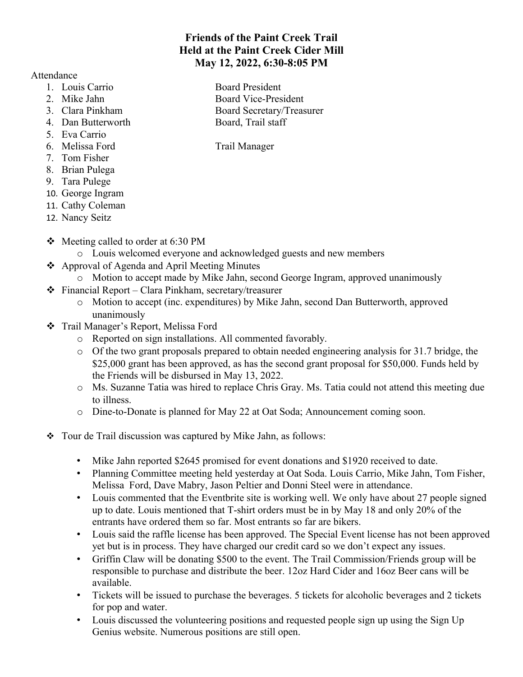## **Friends of the Paint Creek Trail Held at the Paint Creek Cider Mill May 12, 2022, 6:30-8:05 PM**

Attendance

- 1. Louis Carrio Board President
- 
- 
- 4. Dan Butterworth Board, Trail staff
- 5. Eva Carrio
- 6. Melissa Ford Trail Manager
- 7. Tom Fisher
- 8. Brian Pulega
- 9. Tara Pulege
- 10. George Ingram
- 11. Cathy Coleman
- 12. Nancy Seitz
- $\div$  Meeting called to order at 6:30 PM
	- o Louis welcomed everyone and acknowledged guests and new members
- Approval of Agenda and April Meeting Minutes
	- o Motion to accept made by Mike Jahn, second George Ingram, approved unanimously
- Financial Report Clara Pinkham, secretary/treasurer
	- o Motion to accept (inc. expenditures) by Mike Jahn, second Dan Butterworth, approved unanimously
- \* Trail Manager's Report, Melissa Ford
	- o Reported on sign installations. All commented favorably.
	- $\circ$  Of the two grant proposals prepared to obtain needed engineering analysis for 31.7 bridge, the \$25,000 grant has been approved, as has the second grant proposal for \$50,000. Funds held by the Friends will be disbursed in May 13, 2022.
	- o Ms. Suzanne Tatia was hired to replace Chris Gray. Ms. Tatia could not attend this meeting due to illness.
	- o Dine-to-Donate is planned for May 22 at Oat Soda; Announcement coming soon.
- \* Tour de Trail discussion was captured by Mike Jahn, as follows:
	- Mike Jahn reported \$2645 promised for event donations and \$1920 received to date.
	- Planning Committee meeting held yesterday at Oat Soda. Louis Carrio, Mike Jahn, Tom Fisher, Melissa Ford, Dave Mabry, Jason Peltier and Donni Steel were in attendance.
	- Louis commented that the Eventbrite site is working well. We only have about 27 people signed up to date. Louis mentioned that T-shirt orders must be in by May 18 and only 20% of the entrants have ordered them so far. Most entrants so far are bikers.
	- Louis said the raffle license has been approved. The Special Event license has not been approved yet but is in process. They have charged our credit card so we don't expect any issues.
	- Griffin Claw will be donating \$500 to the event. The Trail Commission/Friends group will be responsible to purchase and distribute the beer. 12oz Hard Cider and 16oz Beer cans will be available.
	- Tickets will be issued to purchase the beverages. 5 tickets for alcoholic beverages and 2 tickets for pop and water.
	- Louis discussed the volunteering positions and requested people sign up using the Sign Up Genius website. Numerous positions are still open.
- 2. Mike Jahn Board Vice-President 3. Clara Pinkham Board Secretary/Treasurer
	-